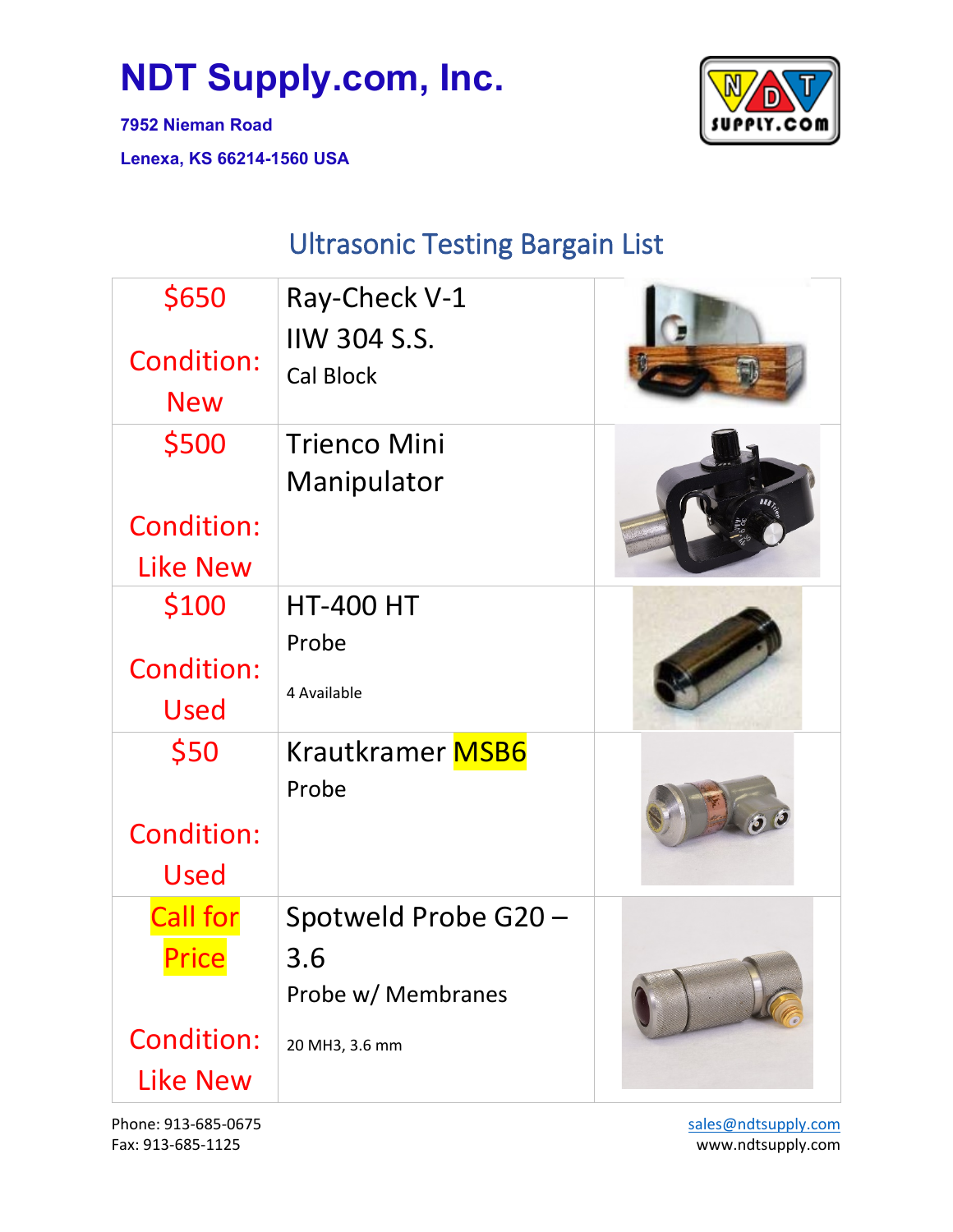UPPLY.COM

**7952 Nieman Road Lenexa, KS 66214-1560 USA**

#### Ultrasonic Testing Bargain List

| \$650<br><b>Condition:</b><br><b>New</b>                         | Ray-Check V-1<br><b>IIW 304 S.S.</b><br><b>Cal Block</b>            |  |
|------------------------------------------------------------------|---------------------------------------------------------------------|--|
| \$500<br><b>Condition:</b><br><b>Like New</b>                    | <b>Trienco Mini</b><br>Manipulator                                  |  |
| \$100<br><b>Condition:</b><br>Used                               | <b>HT-400 HT</b><br>Probe<br>4 Available                            |  |
| \$50<br><b>Condition:</b><br>Used                                | Krautkramer MSB6<br>Probe                                           |  |
| <b>Call for</b><br>Price<br><b>Condition:</b><br><b>Like New</b> | Spotweld Probe G20 -<br>3.6<br>Probe w/ Membranes<br>20 MH3, 3.6 mm |  |

Phone: 913-685-0675 Fax: 913-685-1125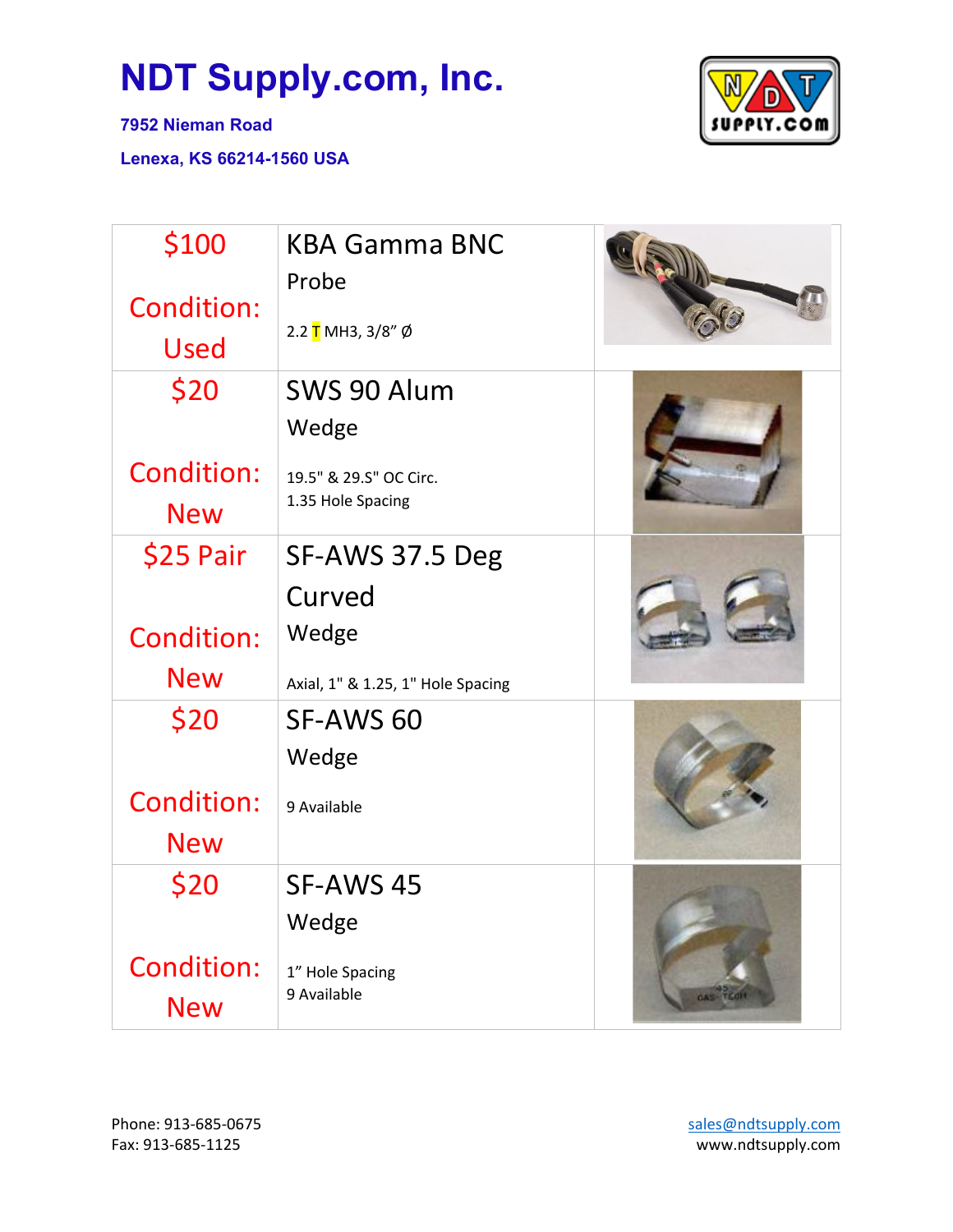**7952 Nieman Road**



| \$100<br><b>Condition:</b>      | <b>KBA Gamma BNC</b><br>Probe               |               |
|---------------------------------|---------------------------------------------|---------------|
| Used                            | 2.2 T MH3, 3/8" Ø                           |               |
| \$20                            | SWS 90 Alum                                 |               |
|                                 | Wedge                                       |               |
| <b>Condition:</b><br><b>New</b> | 19.5" & 29.5" OC Circ.<br>1.35 Hole Spacing |               |
| \$25 Pair                       | SF-AWS 37.5 Deg                             |               |
|                                 | Curved                                      |               |
| <b>Condition:</b>               | Wedge                                       |               |
| <b>New</b>                      | Axial, 1" & 1.25, 1" Hole Spacing           |               |
| \$20                            | SF-AWS 60                                   |               |
|                                 | Wedge                                       |               |
| <b>Condition:</b>               | 9 Available                                 |               |
| <b>New</b>                      |                                             |               |
| \$20                            | SF-AWS 45                                   |               |
|                                 | Wedge                                       |               |
| <b>Condition:</b><br><b>New</b> | 1" Hole Spacing<br>9 Available              | <b>OASHTE</b> |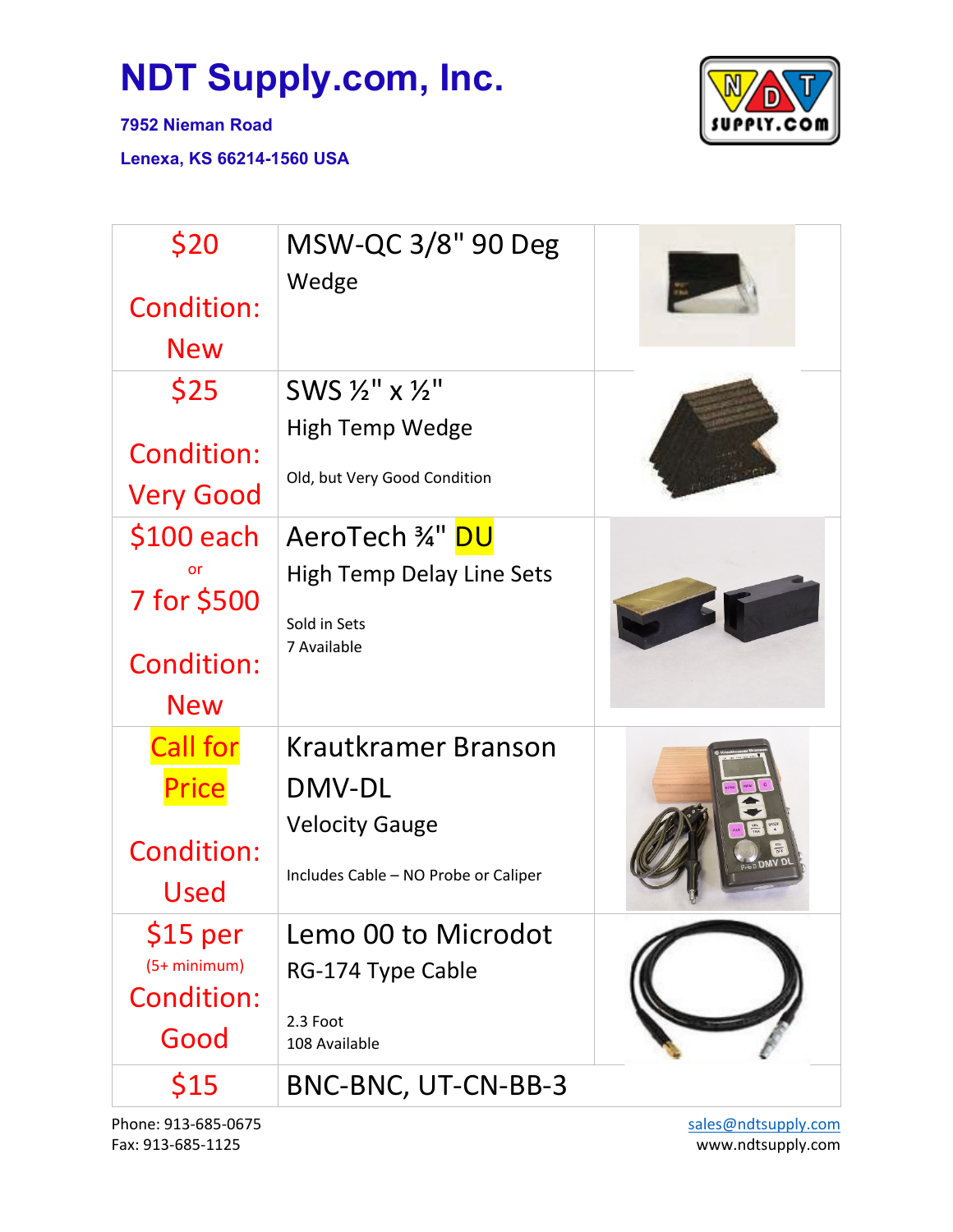

**7952 Nieman Road**

**Lenexa, KS 66214-1560 USA**

| \$20<br><b>Condition:</b><br><b>New</b>                             | MSW-QC 3/8" 90 Deg<br>Wedge                                                                    |  |
|---------------------------------------------------------------------|------------------------------------------------------------------------------------------------|--|
| \$25<br><b>Condition:</b><br><b>Very Good</b>                       | SWS $\frac{1}{2}$ " x $\frac{1}{2}$ "<br>High Temp Wedge<br>Old, but Very Good Condition       |  |
| $$100$ each<br>or<br>7 for \$500<br><b>Condition:</b><br><b>New</b> | AeroTech ¾" DU<br><b>High Temp Delay Line Sets</b><br>Sold in Sets<br>7 Available              |  |
| <b>Call for</b><br><b>Price</b><br><b>Condition:</b><br>Used        | Krautkramer Branson<br>DMV-DL<br><b>Velocity Gauge</b><br>Includes Cable - NO Probe or Caliper |  |
| $$15$ per<br>(5+ minimum)<br><b>Condition:</b><br>Good              | Lemo 00 to Microdot<br>RG-174 Type Cable<br>2.3 Foot<br>108 Available                          |  |
| \$15                                                                | BNC-BNC, UT-CN-BB-3                                                                            |  |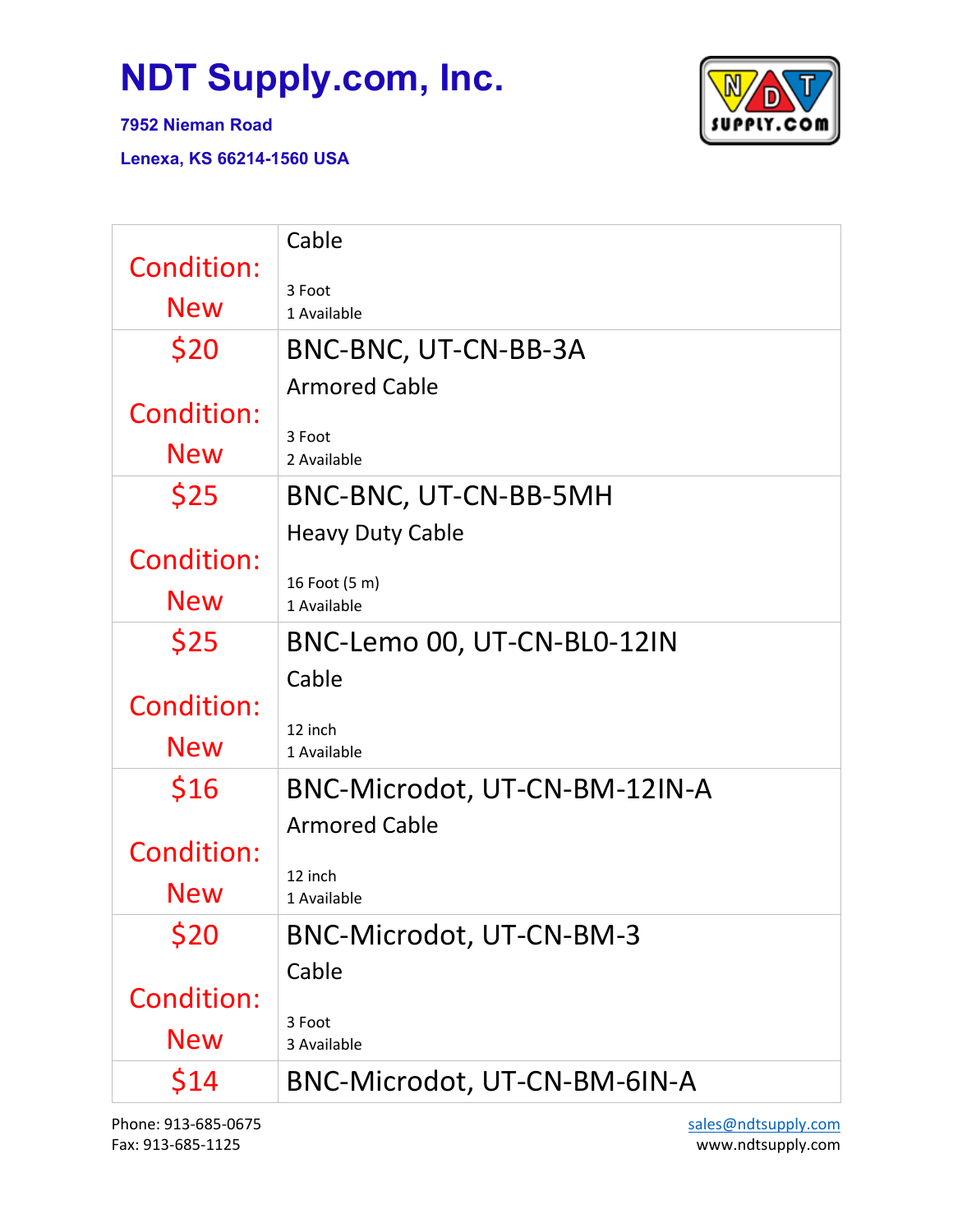**7952 Nieman Road**

**Lenexa, KS 66214-1560 USA**



| Condition:        | Cable                         |
|-------------------|-------------------------------|
|                   | 3 Foot                        |
| <b>New</b>        | 1 Available                   |
| \$20              | BNC-BNC, UT-CN-BB-3A          |
|                   | <b>Armored Cable</b>          |
| <b>Condition:</b> |                               |
| <b>New</b>        | 3 Foot<br>2 Available         |
| \$25              | BNC-BNC, UT-CN-BB-5MH         |
|                   | <b>Heavy Duty Cable</b>       |
| <b>Condition:</b> |                               |
| <b>New</b>        | 16 Foot (5 m)<br>1 Available  |
| \$25              | BNC-Lemo 00, UT-CN-BL0-12IN   |
|                   | Cable                         |
| <b>Condition:</b> |                               |
| <b>New</b>        | 12 inch<br>1 Available        |
| \$16              | BNC-Microdot, UT-CN-BM-12IN-A |
|                   | <b>Armored Cable</b>          |
| <b>Condition:</b> |                               |
|                   | 12 inch                       |
| New               | 1 Available                   |
| \$20              | BNC-Microdot, UT-CN-BM-3      |
|                   | Cable                         |
| <b>Condition:</b> |                               |
| <b>New</b>        | 3 Foot<br>3 Available         |
| \$14              | BNC-Microdot, UT-CN-BM-6IN-A  |

Phone: 913-685-0675 Fax: 913-685-1125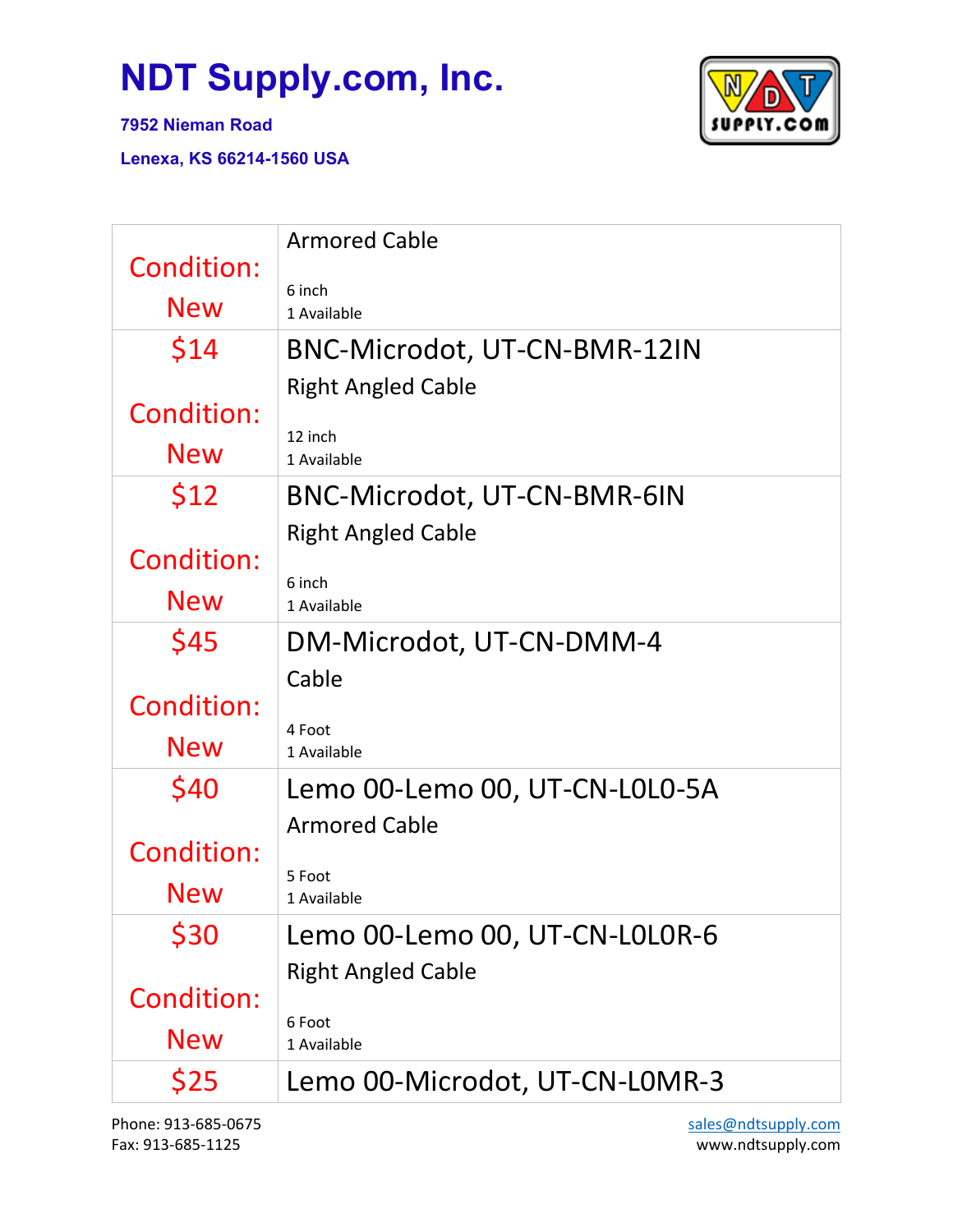

**7952 Nieman Road**

| <b>Condition:</b> | <b>Armored Cable</b>           |
|-------------------|--------------------------------|
| <b>New</b>        | 6 inch<br>1 Available          |
| \$14              | BNC-Microdot, UT-CN-BMR-12IN   |
|                   | <b>Right Angled Cable</b>      |
| <b>Condition:</b> | 12 inch                        |
| <b>New</b>        | 1 Available                    |
| <b>\$12</b>       | BNC-Microdot, UT-CN-BMR-6IN    |
|                   | <b>Right Angled Cable</b>      |
| <b>Condition:</b> | 6 inch                         |
| <b>New</b>        | 1 Available                    |
| \$45              | DM-Microdot, UT-CN-DMM-4       |
|                   | Cable                          |
| Condition:        | 4 Foot                         |
| <b>New</b>        | 1 Available                    |
| \$40              | Lemo 00-Lemo 00, UT-CN-L0L0-5A |
|                   | <b>Armored Cable</b>           |
| Condition:        | 5 Foot                         |
| New               | 1 Available                    |
| \$30              | Lemo 00-Lemo 00, UT-CN-L0L0R-6 |
|                   | <b>Right Angled Cable</b>      |
| <b>Condition:</b> | 6 Foot                         |
| <b>New</b>        | 1 Available                    |
| \$25              | Lemo 00-Microdot, UT-CN-L0MR-3 |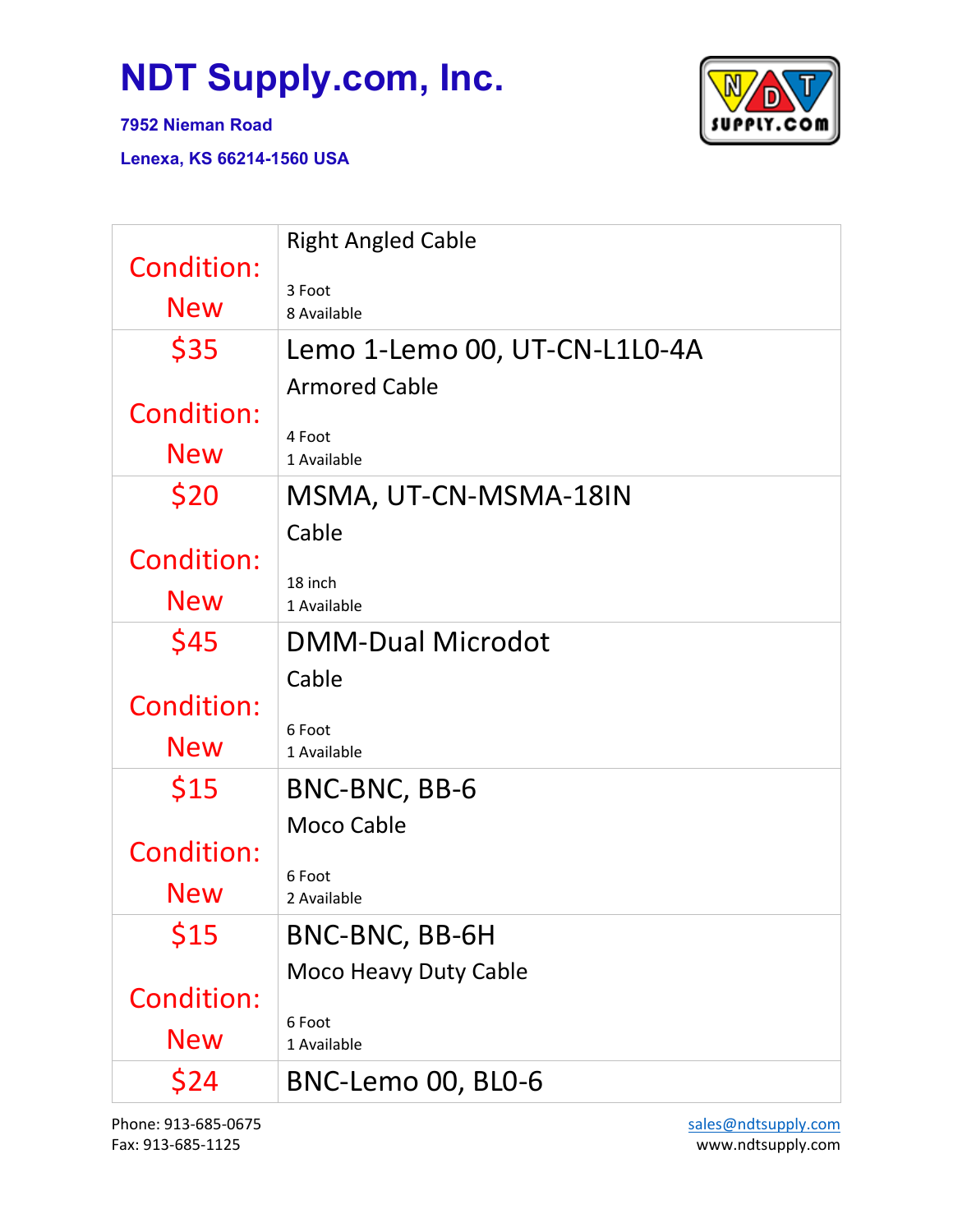

**7952 Nieman Road**

| <b>Condition:</b><br><b>New</b> | <b>Right Angled Cable</b><br>3 Foot<br>8 Available |
|---------------------------------|----------------------------------------------------|
| \$35                            | Lemo 1-Lemo 00, UT-CN-L1L0-4A                      |
|                                 | <b>Armored Cable</b>                               |
| <b>Condition:</b>               |                                                    |
| <b>New</b>                      | 4 Foot<br>1 Available                              |
| \$20                            | MSMA, UT-CN-MSMA-18IN                              |
|                                 | Cable                                              |
| <b>Condition:</b>               | 18 inch                                            |
| <b>New</b>                      | 1 Available                                        |
| \$45                            | <b>DMM-Dual Microdot</b>                           |
|                                 | Cable                                              |
| <b>Condition:</b>               | 6 Foot                                             |
| <b>New</b>                      | 1 Available                                        |
| \$15                            | BNC-BNC, BB-6                                      |
|                                 | <b>Moco Cable</b>                                  |
| Condition:                      | 6 Foot                                             |
| <b>New</b>                      | 2 Available                                        |
| \$15                            | BNC-BNC, BB-6H                                     |
|                                 | <b>Moco Heavy Duty Cable</b>                       |
| <b>Condition:</b>               | 6 Foot                                             |
| <b>New</b>                      | 1 Available                                        |
| \$24                            | BNC-Lemo 00, BL0-6                                 |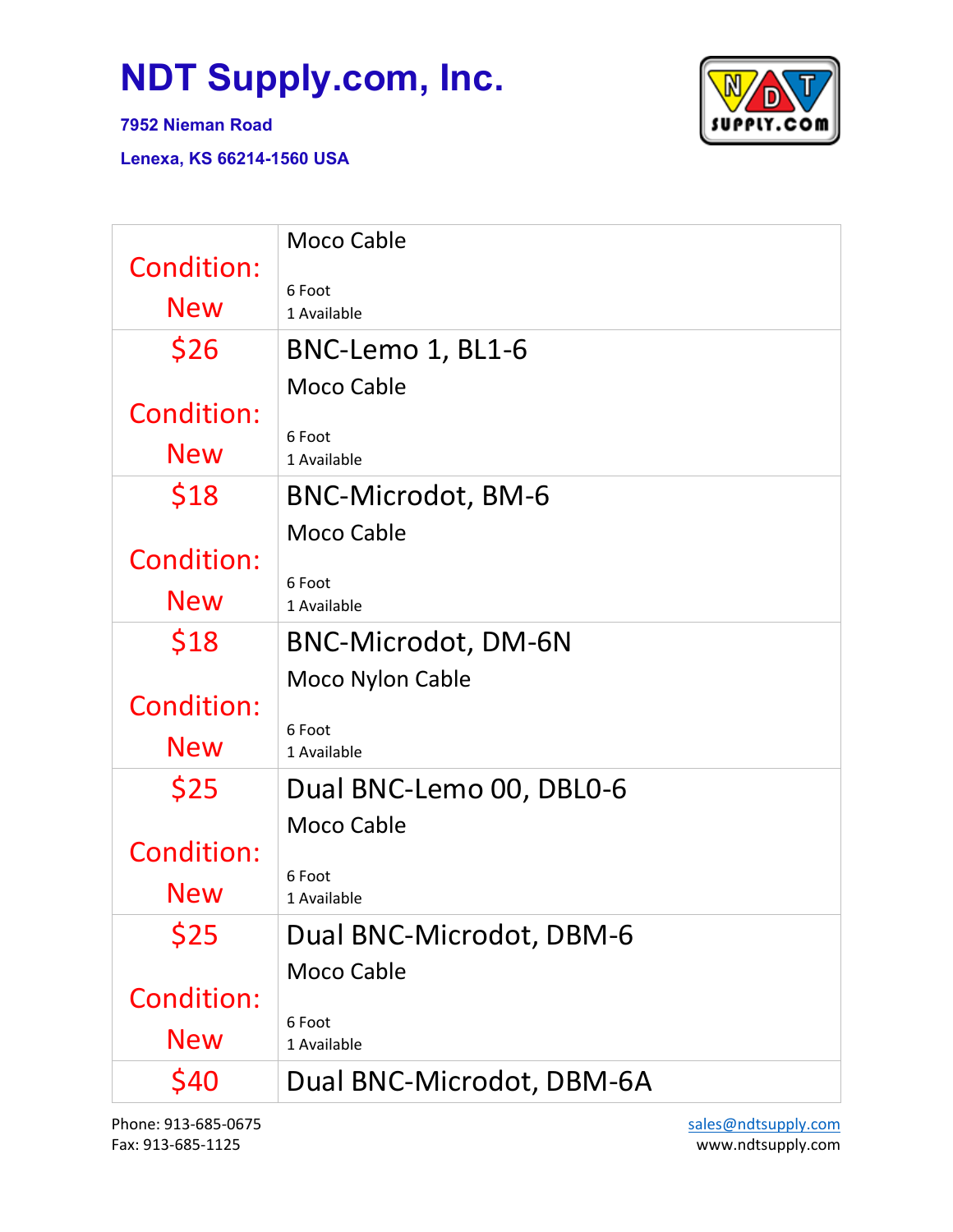

**7952 Nieman Road**

**Lenexa, KS 66214-1560 USA**

| <b>Condition:</b> | <b>Moco Cable</b>         |
|-------------------|---------------------------|
|                   | 6 Foot                    |
| <b>New</b>        | 1 Available               |
| \$26              | BNC-Lemo 1, BL1-6         |
|                   | <b>Moco Cable</b>         |
| <b>Condition:</b> | 6 Foot                    |
| <b>New</b>        | 1 Available               |
| \$18              | <b>BNC-Microdot, BM-6</b> |
|                   | <b>Moco Cable</b>         |
| <b>Condition:</b> | 6 Foot                    |
| <b>New</b>        | 1 Available               |
| \$18              | BNC-Microdot, DM-6N       |
|                   | <b>Moco Nylon Cable</b>   |
| <b>Condition:</b> | 6 Foot                    |
| <b>New</b>        | 1 Available               |
| \$25              | Dual BNC-Lemo 00, DBL0-6  |
|                   | <b>Moco Cable</b>         |
| <b>Condition:</b> | 6 Foot                    |
| New               | 1 Available               |
| \$25              | Dual BNC-Microdot, DBM-6  |
|                   | <b>Moco Cable</b>         |
| <b>Condition:</b> | 6 Foot                    |
| <b>New</b>        | 1 Available               |
| \$40              | Dual BNC-Microdot, DBM-6A |

Phone: 913-685-0675 Fax: 913-685-1125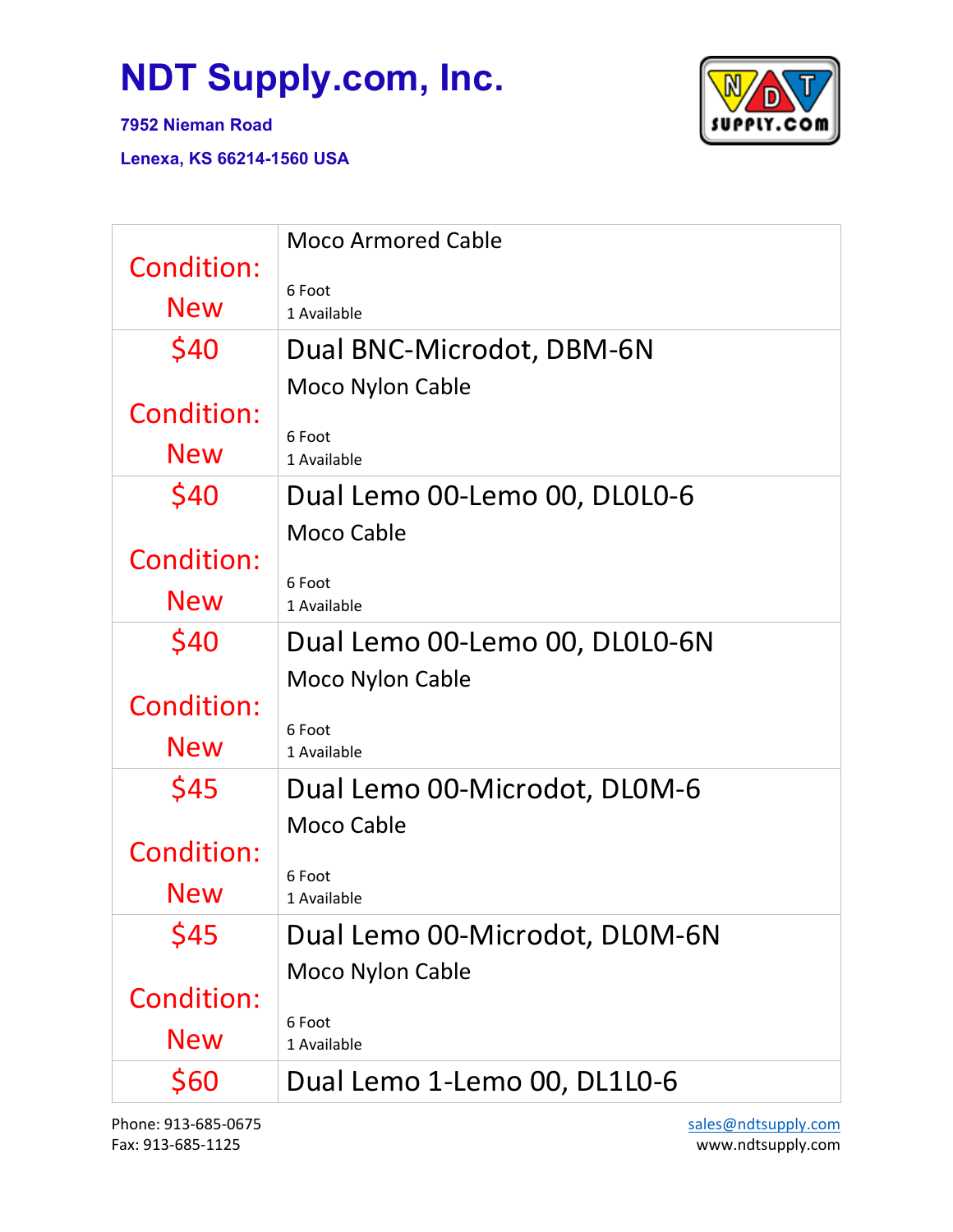

**7952 Nieman Road**

| <b>Condition:</b><br><b>New</b>                 | <b>Moco Armored Cable</b><br>6 Foot<br>1 Available                                 |
|-------------------------------------------------|------------------------------------------------------------------------------------|
| \$40<br>Condition:<br>New                       | Dual BNC-Microdot, DBM-6N<br><b>Moco Nylon Cable</b><br>6 Foot<br>1 Available      |
| \$40<br>Condition:<br><b>New</b>                | Dual Lemo 00-Lemo 00, DL0L0-6<br><b>Moco Cable</b><br>6 Foot<br>1 Available        |
| \$40<br><b>Condition:</b>                       | Dual Lemo 00-Lemo 00, DL0L0-6N<br><b>Moco Nylon Cable</b><br>6 Foot                |
| <b>New</b>                                      | 1 Available                                                                        |
| \$45<br><b>Condition:</b><br>New                | Dual Lemo 00-Microdot, DL0M-6<br><b>Moco Cable</b><br>6 Foot<br>1 Available        |
| \$45<br><b>Condition:</b><br><b>New</b><br>\$60 | Dual Lemo 00-Microdot, DL0M-6N<br><b>Moco Nylon Cable</b><br>6 Foot<br>1 Available |